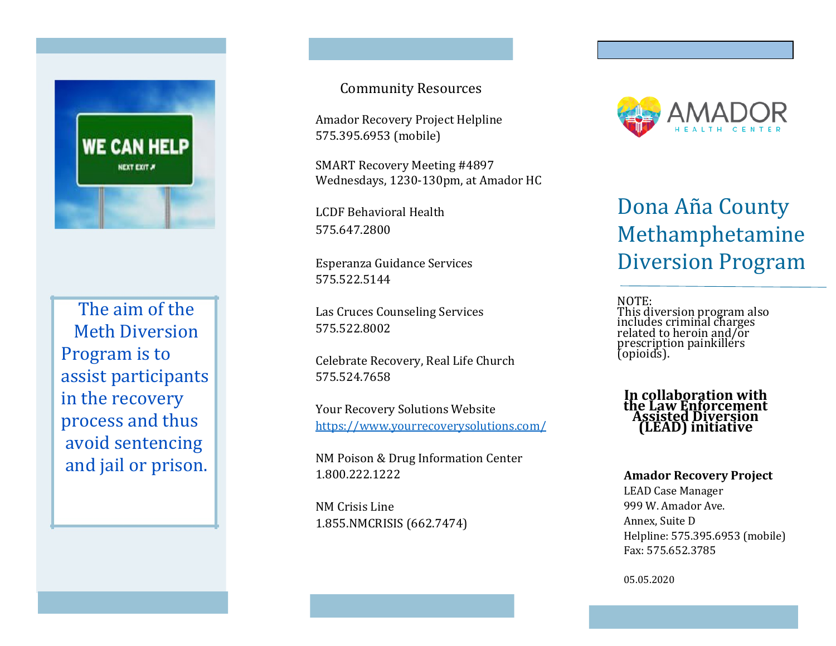

The aim of the Meth Diversion Program is to assist participants in the recovery process and thus avoid sentencing and jail or prison.

#### Community Resources

Amador Recovery Project Helpline 575.395.6953 (mobile)

SMART Recovery Meeting #4897 Wednesdays, 1230-130pm, at Amador HC

LCDF Behavioral Health 575.647.2800

Esperanza Guidance Services 575.522.5144

Las Cruces Counseling Services 575.522.8002

Celebrate Recovery, Real Life Church 575.524.7658

Your Recovery Solutions Website https://www.yourrecoverysolutions.com/

NM Poison & Drug Information Center 1.800.222.1222

NM Crisis Line 1.855.NMCRISIS (662.7474)



# Dona Aña County Methamphetamine Diversion Program

NOTE: This diversion program also includes criminal charges related to heroin and/or prescription painkillers (opioids).

In collaboration with the Law Enforcement Assisted Diversion (LEAD) initiative

#### Amador Recovery Project

LEAD Case Manager 999 W. Amador Ave. Annex, Suite D Helpline: 575.395.6953 (mobile) Fax: 575.652.3785

05.05.2020